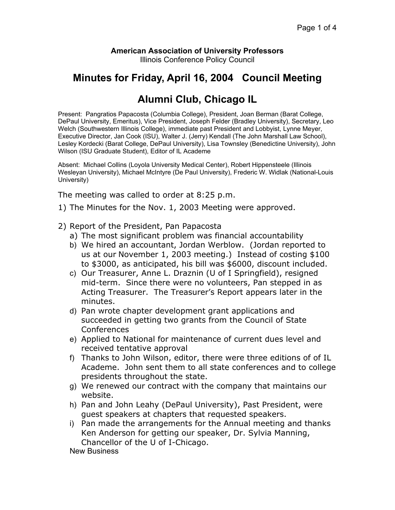## **American Association of University Professors**

Illinois Conference Policy Council

## **Minutes for Friday, April 16, 2004 Council Meeting**

## **Alumni Club, Chicago IL**

Present: Pangratios Papacosta (Columbia College), President, Joan Berman (Barat College, DePaul University, Emeritus), Vice President, Joseph Felder (Bradley University), Secretary, Leo Welch (Southwestern Illinois College), immediate past President and Lobbyist, Lynne Meyer, Executive Director, Jan Cook (ISU), Walter J. (Jerry) Kendall (The John Marshall Law School), Lesley Kordecki (Barat College, DePaul University), Lisa Townsley (Benedictine University), John Wilson (ISU Graduate Student), Editor of IL Academe

Absent: Michael Collins (Loyola University Medical Center), Robert Hippensteele (Illinois Wesleyan University), Michael McIntyre (De Paul University), Frederic W. Widlak (National-Louis University)

The meeting was called to order at 8:25 p.m.

- 1) The Minutes for the Nov. 1, 2003 Meeting were approved.
- 2) Report of the President, Pan Papacosta
	- a) The most significant problem was financial accountability
	- b) We hired an accountant, Jordan Werblow. (Jordan reported to us at our November 1, 2003 meeting.) Instead of costing \$100 to \$3000, as anticipated, his bill was \$6000, discount included.
	- c) Our Treasurer, Anne L. Draznin (U of I Springfield), resigned mid-term. Since there were no volunteers, Pan stepped in as Acting Treasurer. The Treasurer's Report appears later in the minutes.
	- d) Pan wrote chapter development grant applications and succeeded in getting two grants from the Council of State Conferences
	- e) Applied to National for maintenance of current dues level and received tentative approval
	- f) Thanks to John Wilson, editor, there were three editions of of IL Academe. John sent them to all state conferences and to college presidents throughout the state.
	- g) We renewed our contract with the company that maintains our website.
	- h) Pan and John Leahy (DePaul University), Past President, were guest speakers at chapters that requested speakers.
	- i) Pan made the arrangements for the Annual meeting and thanks Ken Anderson for getting our speaker, Dr. Sylvia Manning, Chancellor of the U of I-Chicago.

New Business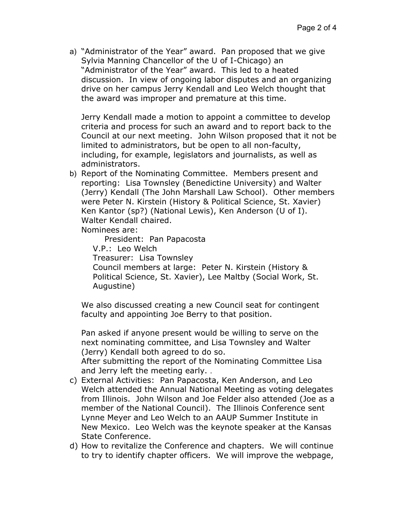a) "Administrator of the Year" award. Pan proposed that we give Sylvia Manning Chancellor of the U of I-Chicago) an "Administrator of the Year" award. This led to a heated discussion. In view of ongoing labor disputes and an organizing drive on her campus Jerry Kendall and Leo Welch thought that the award was improper and premature at this time.

Jerry Kendall made a motion to appoint a committee to develop criteria and process for such an award and to report back to the Council at our next meeting. John Wilson proposed that it not be limited to administrators, but be open to all non-faculty, including, for example, legislators and journalists, as well as administrators.

b) Report of the Nominating Committee. Members present and reporting: Lisa Townsley (Benedictine University) and Walter (Jerry) Kendall (The John Marshall Law School). Other members were Peter N. Kirstein (History & Political Science, St. Xavier) Ken Kantor (sp?) (National Lewis), Ken Anderson (U of I). Walter Kendall chaired.

Nominees are:

President: Pan Papacosta V.P.: Leo Welch Treasurer: Lisa Townsley Council members at large: Peter N. Kirstein (History & Political Science, St. Xavier), Lee Maltby (Social Work, St. Augustine)

We also discussed creating a new Council seat for contingent faculty and appointing Joe Berry to that position.

Pan asked if anyone present would be willing to serve on the next nominating committee, and Lisa Townsley and Walter (Jerry) Kendall both agreed to do so.

After submitting the report of the Nominating Committee Lisa and Jerry left the meeting early. .

- c) External Activities: Pan Papacosta, Ken Anderson, and Leo Welch attended the Annual National Meeting as voting delegates from Illinois. John Wilson and Joe Felder also attended (Joe as a member of the National Council). The Illinois Conference sent Lynne Meyer and Leo Welch to an AAUP Summer Institute in New Mexico. Leo Welch was the keynote speaker at the Kansas State Conference.
- d) How to revitalize the Conference and chapters. We will continue to try to identify chapter officers. We will improve the webpage,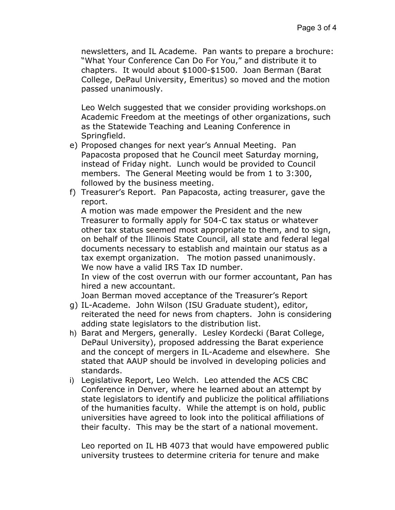newsletters, and IL Academe. Pan wants to prepare a brochure: "What Your Conference Can Do For You," and distribute it to chapters. It would about \$1000-\$1500. Joan Berman (Barat College, DePaul University, Emeritus) so moved and the motion passed unanimously.

Leo Welch suggested that we consider providing workshops.on Academic Freedom at the meetings of other organizations, such as the Statewide Teaching and Leaning Conference in Springfield.

- e) Proposed changes for next year's Annual Meeting. Pan Papacosta proposed that he Council meet Saturday morning, instead of Friday night. Lunch would be provided to Council members. The General Meeting would be from 1 to 3:300, followed by the business meeting.
- f) Treasurer's Report. Pan Papacosta, acting treasurer, gave the report.

A motion was made empower the President and the new Treasurer to formally apply for 504-C tax status or whatever other tax status seemed most appropriate to them, and to sign, on behalf of the Illinois State Council, all state and federal legal documents necessary to establish and maintain our status as a tax exempt organization. The motion passed unanimously. We now have a valid IRS Tax ID number.

In view of the cost overrun with our former accountant, Pan has hired a new accountant.

Joan Berman moved acceptance of the Treasurer's Report

- g) IL-Academe. John Wilson (ISU Graduate student), editor, reiterated the need for news from chapters. John is considering adding state legislators to the distribution list.
- h) Barat and Mergers, generally. Lesley Kordecki (Barat College, DePaul University), proposed addressing the Barat experience and the concept of mergers in IL-Academe and elsewhere. She stated that AAUP should be involved in developing policies and standards.
- i) Legislative Report, Leo Welch. Leo attended the ACS CBC Conference in Denver, where he learned about an attempt by state legislators to identify and publicize the political affiliations of the humanities faculty. While the attempt is on hold, public universities have agreed to look into the political affiliations of their faculty. This may be the start of a national movement.

Leo reported on IL HB 4073 that would have empowered public university trustees to determine criteria for tenure and make